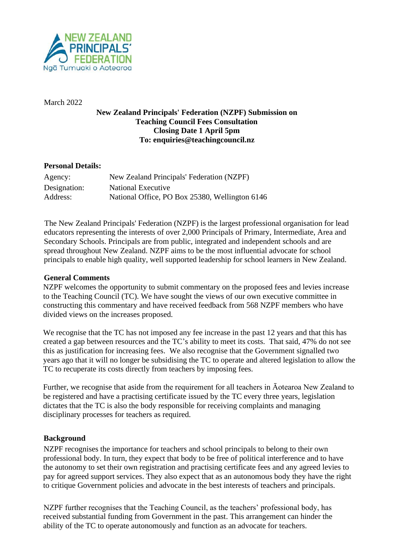

March 2022

# **New Zealand Principals' Federation (NZPF) Submission on Teaching Council Fees Consultation Closing Date 1 April 5pm To: enquiries@teachingcouncil.nz**

### **Personal Details:**

| Agency:      | New Zealand Principals' Federation (NZPF)      |
|--------------|------------------------------------------------|
| Designation: | National Executive                             |
| Address:     | National Office, PO Box 25380, Wellington 6146 |

The New Zealand Principals' Federation (NZPF) is the largest professional organisation for lead educators representing the interests of over 2,000 Principals of Primary, Intermediate, Area and Secondary Schools. Principals are from public, integrated and independent schools and are spread throughout New Zealand. NZPF aims to be the most influential advocate for school principals to enable high quality, well supported leadership for school learners in New Zealand.

#### **General Comments**

NZPF welcomes the opportunity to submit commentary on the proposed fees and levies increase to the Teaching Council (TC). We have sought the views of our own executive committee in constructing this commentary and have received feedback from 568 NZPF members who have divided views on the increases proposed.

We recognise that the TC has not imposed any fee increase in the past 12 years and that this has created a gap between resources and the TC's ability to meet its costs. That said, 47% do not see this as justification for increasing fees. We also recognise that the Government signalled two years ago that it will no longer be subsidising the TC to operate and altered legislation to allow the TC to recuperate its costs directly from teachers by imposing fees.

Further, we recognise that aside from the requirement for all teachers in Āotearoa New Zealand to be registered and have a practising certificate issued by the TC every three years, legislation dictates that the TC is also the body responsible for receiving complaints and managing disciplinary processes for teachers as required.

# **Background**

NZPF recognises the importance for teachers and school principals to belong to their own professional body. In turn, they expect that body to be free of political interference and to have the autonomy to set their own registration and practising certificate fees and any agreed levies to pay for agreed support services. They also expect that as an autonomous body they have the right to critique Government policies and advocate in the best interests of teachers and principals.

NZPF further recognises that the Teaching Council, as the teachers' professional body, has received substantial funding from Government in the past. This arrangement can hinder the ability of the TC to operate autonomously and function as an advocate for teachers.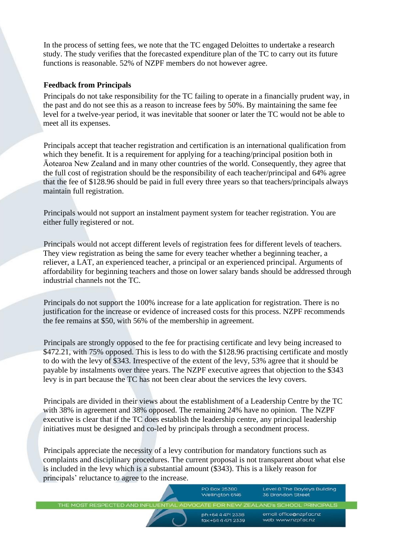In the process of setting fees, we note that the TC engaged Deloittes to undertake a research study. The study verifies that the forecasted expenditure plan of the TC to carry out its future functions is reasonable. 52% of NZPF members do not however agree.

### **Feedback from Principals**

Principals do not take responsibility for the TC failing to operate in a financially prudent way, in the past and do not see this as a reason to increase fees by 50%. By maintaining the same fee level for a twelve-year period, it was inevitable that sooner or later the TC would not be able to meet all its expenses.

Principals accept that teacher registration and certification is an international qualification from which they benefit. It is a requirement for applying for a teaching/principal position both in Āotearoa New Zealand and in many other countries of the world. Consequently, they agree that the full cost of registration should be the responsibility of each teacher/principal and 64% agree that the fee of \$128.96 should be paid in full every three years so that teachers/principals always maintain full registration.

Principals would not support an instalment payment system for teacher registration. You are either fully registered or not.

Principals would not accept different levels of registration fees for different levels of teachers. They view registration as being the same for every teacher whether a beginning teacher, a reliever, a LAT, an experienced teacher, a principal or an experienced principal. Arguments of affordability for beginning teachers and those on lower salary bands should be addressed through industrial channels not the TC.

Principals do not support the 100% increase for a late application for registration. There is no justification for the increase or evidence of increased costs for this process. NZPF recommends the fee remains at \$50, with 56% of the membership in agreement.

Principals are strongly opposed to the fee for practising certificate and levy being increased to \$472.21, with 75% opposed. This is less to do with the \$128.96 practising certificate and mostly to do with the levy of \$343. Irrespective of the extent of the levy, 53% agree that it should be payable by instalments over three years. The NZPF executive agrees that objection to the \$343 levy is in part because the TC has not been clear about the services the levy covers.

Principals are divided in their views about the establishment of a Leadership Centre by the TC with 38% in agreement and 38% opposed. The remaining 24% have no opinion. The NZPF executive is clear that if the TC does establish the leadership centre, any principal leadership initiatives must be designed and co-led by principals through a secondment process.

Principals appreciate the necessity of a levy contribution for mandatory functions such as complaints and disciplinary procedures. The current proposal is not transparent about what else is included in the levy which is a substantial amount (\$343). This is a likely reason for principals' reluctance to agree to the increase.